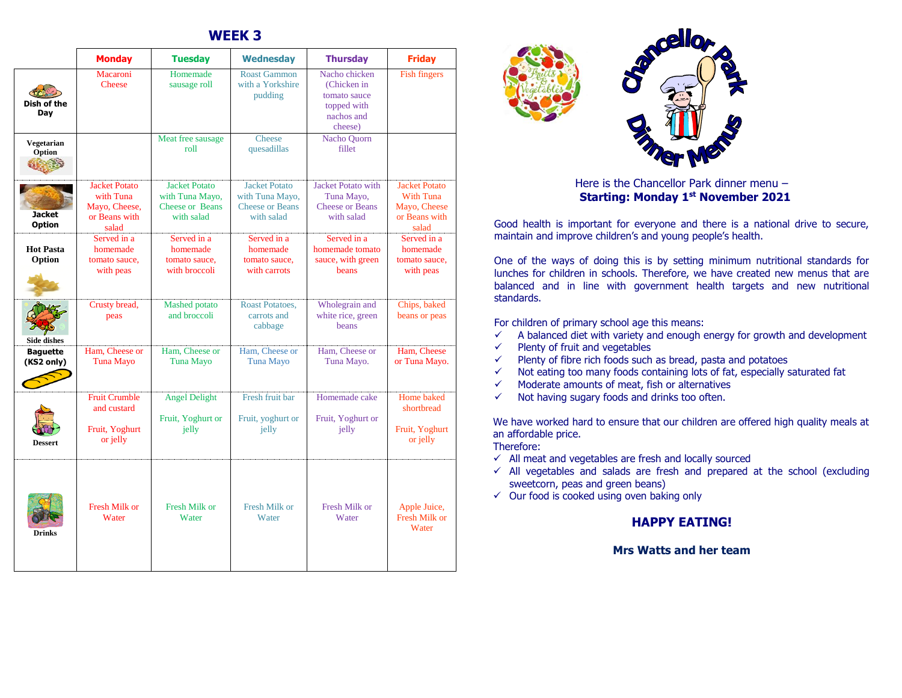## **WEEK 3**

|                                | <b>Monday</b>                                                                | <b>Tuesday</b>                                                                                      | <b>Wednesday</b>                                                                | <b>Thursday</b>                                                                      | <b>Friday</b>                                                                      |  |
|--------------------------------|------------------------------------------------------------------------------|-----------------------------------------------------------------------------------------------------|---------------------------------------------------------------------------------|--------------------------------------------------------------------------------------|------------------------------------------------------------------------------------|--|
| Dish of the<br>Day             | Macaroni<br>Cheese                                                           | Homemade<br>sausage roll                                                                            | <b>Roast Gammon</b><br>with a Yorkshire<br>pudding                              | Nacho chicken<br>(Chicken in<br>tomato sauce<br>topped with<br>nachos and<br>cheese) | <b>Fish fingers</b>                                                                |  |
| Vegetarian<br>Option           |                                                                              | Meat free sausage<br>roll                                                                           | Cheese<br>quesadillas                                                           | <b>Nacho Quorn</b><br>fillet                                                         |                                                                                    |  |
| <b>Jacket</b><br><b>Option</b> | <b>Jacket Potato</b><br>with Tuna<br>Mayo, Cheese,<br>or Beans with<br>salad | <b>Jacket Potato</b><br>with Tuna Mayo,<br><b>Cheese or Beans</b><br>with salad                     | <b>Jacket Potato</b><br>with Tuna Mayo,<br><b>Cheese or Beans</b><br>with salad | <b>Jacket Potato with</b><br>Tuna Mayo,<br><b>Cheese or Beans</b><br>with salad      | <b>Jacket Potato</b><br><b>With Tuna</b><br>Mayo, Cheese<br>or Beans with<br>salad |  |
| <b>Hot Pasta</b><br>Option     | Served in a<br>homemade<br>tomato sauce.<br>with peas                        | Served in a<br>homemade<br>tomato sauce.<br>with broccoli                                           | Served in a<br>homemade<br>tomato sauce.<br>with carrots                        | Served in a<br>homemade tomato<br>sauce, with green<br>beans                         | Served in a<br>homemade<br>tomato sauce.<br>with peas                              |  |
| <b>Side dishes</b>             | Crusty bread,<br>peas                                                        | <b>Mashed</b> potato<br>and broccoli                                                                | Roast Potatoes,<br>carrots and<br>cabbage                                       | Wholegrain and<br>white rice, green<br>beans                                         | Chips, baked<br>beans or peas                                                      |  |
| <b>Baquette</b><br>(KS2 only)  | Ham, Cheese or<br><b>Tuna Mayo</b>                                           | Ham, Cheese or<br><b>Tuna Mayo</b>                                                                  | Ham, Cheese or<br><b>Tuna Mayo</b>                                              | Ham, Cheese or<br>Tuna Mayo.                                                         | Ham. Cheese<br>or Tuna Mayo.                                                       |  |
| <b>Dessert</b>                 | <b>Fruit Crumble</b><br>and custard<br>Fruit, Yoghurt<br>or jelly            | <b>Angel Delight</b><br>Fresh fruit bar<br>Fruit, Yoghurt or<br>Fruit, yoghurt or<br>jelly<br>jelly |                                                                                 | Homemade cake<br>Fruit, Yoghurt or<br>jelly                                          | Home baked<br>shortbread<br>Fruit, Yoghurt<br>or jelly                             |  |
| <b>Drinks</b>                  | <b>Fresh Milk or</b><br>Water                                                | <b>Fresh Milk or</b><br>Water                                                                       | <b>Fresh Milk or</b><br>Water                                                   | <b>Fresh Milk or</b><br>Water                                                        | Apple Juice,<br>Fresh Milk or<br>Water                                             |  |



Here is the Chancellor Park dinner menu – **Starting: Monday 1st November 2021**

Good health is important for everyone and there is a national drive to secure, maintain and improve children's and young people's health.

One of the ways of doing this is by setting minimum nutritional standards for lunches for children in schools. Therefore, we have created new menus that are balanced and in line with government health targets and new nutritional standards.

For children of primary school age this means:

- $\checkmark$  A balanced diet with variety and enough energy for growth and development
- $\checkmark$  Plenty of fruit and vegetables
- $\checkmark$  Plenty of fibre rich foods such as bread, pasta and potatoes
- $\checkmark$  Not eating too many foods containing lots of fat, especially saturated fat
- $\checkmark$  Moderate amounts of meat, fish or alternatives
- $\checkmark$  Not having sugary foods and drinks too often.

We have worked hard to ensure that our children are offered high quality meals at an affordable price.

Therefore:

- $\checkmark$  All meat and vegetables are fresh and locally sourced
- $\checkmark$  All vegetables and salads are fresh and prepared at the school (excluding sweetcorn, peas and green beans)
- $\checkmark$  Our food is cooked using oven baking only

## **HAPPY EATING!**

## **Mrs Watts and her team**